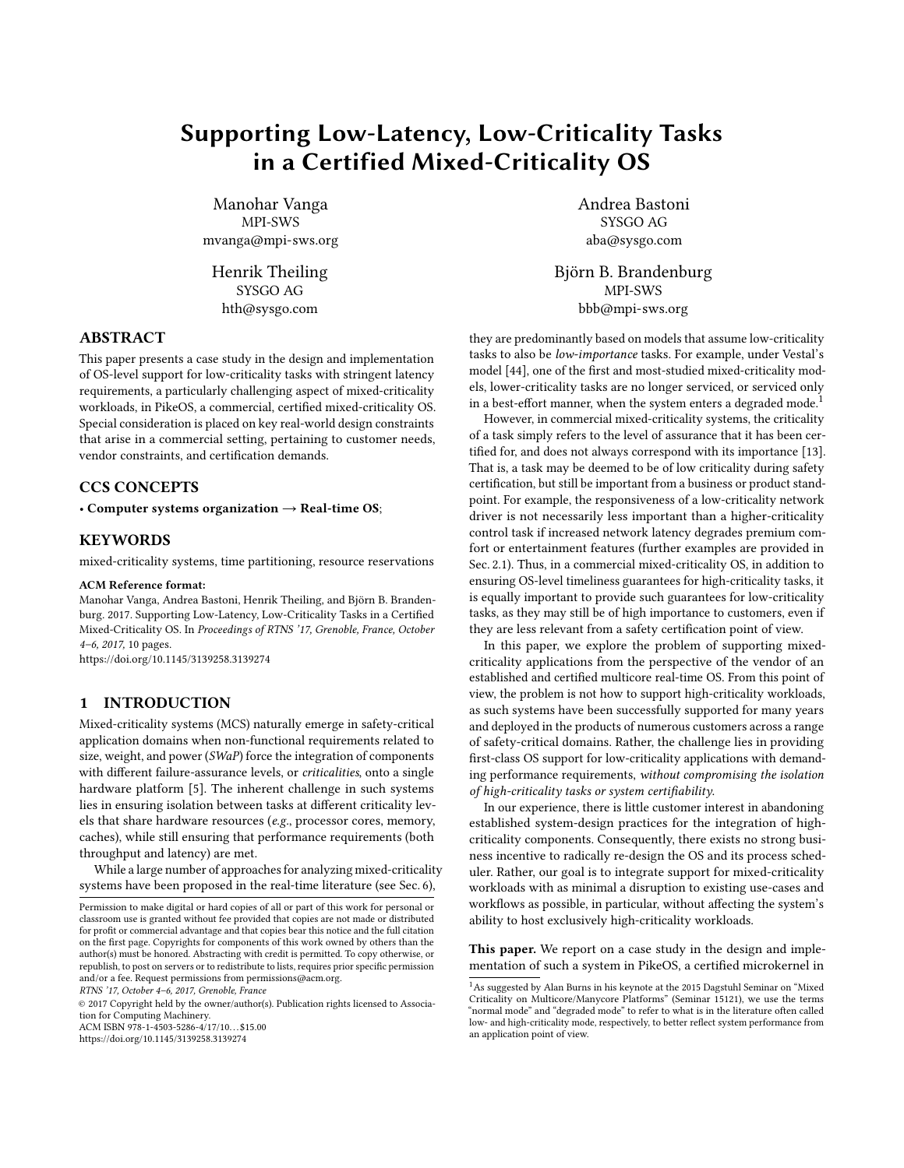# <span id="page-0-0"></span>Supporting Low-Latency, Low-Criticality Tasks in a Certified Mixed-Criticality OS

Manohar Vanga MPI-SWS mvanga@mpi-sws.org

Henrik Theiling SYSGO AG hth@sysgo.com

### ABSTRACT

This paper presents a case study in the design and implementation of OS-level support for low-criticality tasks with stringent latency requirements, a particularly challenging aspect of mixed-criticality workloads, in PikeOS, a commercial, certified mixed-criticality OS. Special consideration is placed on key real-world design constraints that arise in a commercial setting, pertaining to customer needs, vendor constraints, and certification demands.

# CCS CONCEPTS

• Computer systems organization  $\rightarrow$  Real-time OS;

#### **KEYWORDS**

mixed-criticality systems, time partitioning, resource reservations

#### ACM Reference format:

Manohar Vanga, Andrea Bastoni, Henrik Theiling, and Björn B. Brandenburg. 2017. Supporting Low-Latency, Low-Criticality Tasks in a Certified Mixed-Criticality OS. In Proceedings of RTNS '17, Grenoble, France, October 4–6, 2017, [10](#page-9-0) pages.

<https://doi.org/10.1145/3139258.3139274>

# 1 INTRODUCTION

Mixed-criticality systems (MCS) naturally emerge in safety-critical application domains when non-functional requirements related to size, weight, and power (SWaP) force the integration of components with different failure-assurance levels, or criticalities, onto a single hardware platform [\[5\]](#page-9-1). The inherent challenge in such systems lies in ensuring isolation between tasks at different criticality levels that share hardware resources (e.g., processor cores, memory, caches), while still ensuring that performance requirements (both throughput and latency) are met.

While a large number of approaches for analyzing mixed-criticality systems have been proposed in the real-time literature (see Sec. [6\)](#page-8-0),

© 2017 Copyright held by the owner/author(s). Publication rights licensed to Association for Computing Machinery.

ACM ISBN 978-1-4503-5286-4/17/10. . . \$15.00

<https://doi.org/10.1145/3139258.3139274>

Andrea Bastoni SYSGO AG aba@sysgo.com

Björn B. Brandenburg MPI-SWS bbb@mpi-sws.org

they are predominantly based on models that assume low-criticality tasks to also be low-importance tasks. For example, under Vestal's model [\[44\]](#page-9-2), one of the first and most-studied mixed-criticality models, lower-criticality tasks are no longer serviced, or serviced only in a best-effort manner, when the system enters a degraded mode.<sup>1</sup>

However, in commercial mixed-criticality systems, the criticality of a task simply refers to the level of assurance that it has been certified for, and does not always correspond with its importance [\[13\]](#page-9-3). That is, a task may be deemed to be of low criticality during safety certification, but still be important from a business or product standpoint. For example, the responsiveness of a low-criticality network driver is not necessarily less important than a higher-criticality control task if increased network latency degrades premium comfort or entertainment features (further examples are provided in Sec. [2.1\)](#page-1-0). Thus, in a commercial mixed-criticality OS, in addition to ensuring OS-level timeliness guarantees for high-criticality tasks, it is equally important to provide such guarantees for low-criticality tasks, as they may still be of high importance to customers, even if they are less relevant from a safety certification point of view.

In this paper, we explore the problem of supporting mixedcriticality applications from the perspective of the vendor of an established and certified multicore real-time OS. From this point of view, the problem is not how to support high-criticality workloads, as such systems have been successfully supported for many years and deployed in the products of numerous customers across a range of safety-critical domains. Rather, the challenge lies in providing first-class OS support for low-criticality applications with demanding performance requirements, without compromising the isolation of high-criticality tasks or system certifiability.

In our experience, there is little customer interest in abandoning established system-design practices for the integration of highcriticality components. Consequently, there exists no strong business incentive to radically re-design the OS and its process scheduler. Rather, our goal is to integrate support for mixed-criticality workloads with as minimal a disruption to existing use-cases and workflows as possible, in particular, without affecting the system's ability to host exclusively high-criticality workloads.

This paper. We report on a case study in the design and implementation of such a system in PikeOS, a certified microkernel in

Permission to make digital or hard copies of all or part of this work for personal or classroom use is granted without fee provided that copies are not made or distributed for profit or commercial advantage and that copies bear this notice and the full citation on the first page. Copyrights for components of this work owned by others than the author(s) must be honored. Abstracting with credit is permitted. To copy otherwise, or republish, to post on servers or to redistribute to lists, requires prior specific permission and/or a fee. Request permissions from permissions@acm.org.

RTNS '17, October 4–6, 2017, Grenoble, France

 $^1\mathrm{As}$  suggested by Alan Burns in his keynote at the 2015 Dagstuhl Seminar on "Mixed Criticality on Multicore/Manycore Platforms" (Seminar 15121), we use the terms "normal mode" and "degraded mode" to refer to what is in the literature often called low- and high-criticality mode, respectively, to better reflect system performance from an application point of view.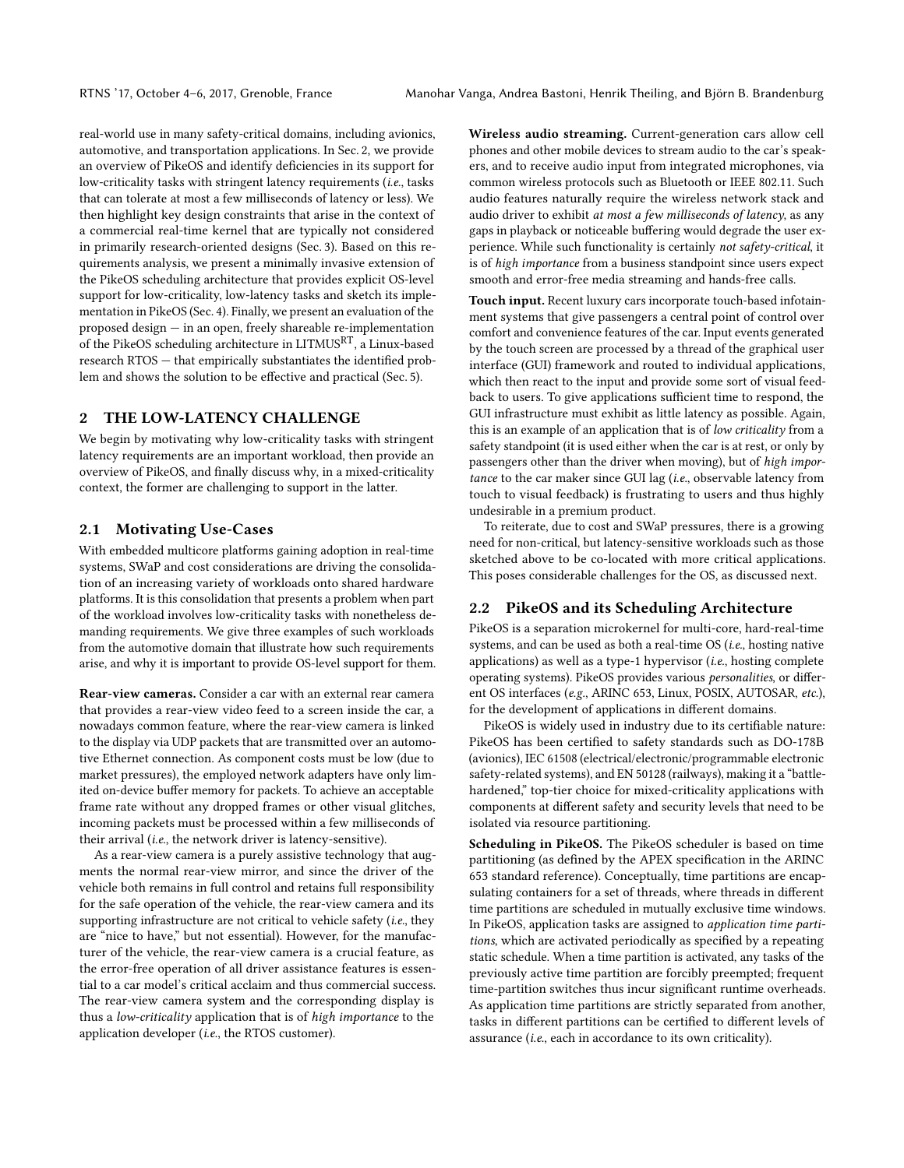real-world use in many safety-critical domains, including avionics, automotive, and transportation applications. In Sec. [2,](#page-1-1) we provide an overview of PikeOS and identify deficiencies in its support for low-criticality tasks with stringent latency requirements (i.e., tasks that can tolerate at most a few milliseconds of latency or less). We then highlight key design constraints that arise in the context of a commercial real-time kernel that are typically not considered in primarily research-oriented designs (Sec. [3\)](#page-3-0). Based on this requirements analysis, we present a minimally invasive extension of the PikeOS scheduling architecture that provides explicit OS-level support for low-criticality, low-latency tasks and sketch its implementation in PikeOS (Sec. [4\)](#page-4-0). Finally, we present an evaluation of the proposed design — in an open, freely shareable re-implementation of the PikeOS scheduling architecture in LITMUSRT, a Linux-based research RTOS — that empirically substantiates the identified problem and shows the solution to be effective and practical (Sec. [5\)](#page-6-0).

## <span id="page-1-1"></span>2 THE LOW-LATENCY CHALLENGE

We begin by motivating why low-criticality tasks with stringent latency requirements are an important workload, then provide an overview of PikeOS, and finally discuss why, in a mixed-criticality context, the former are challenging to support in the latter.

#### <span id="page-1-0"></span>2.1 Motivating Use-Cases

With embedded multicore platforms gaining adoption in real-time systems, SWaP and cost considerations are driving the consolidation of an increasing variety of workloads onto shared hardware platforms. It is this consolidation that presents a problem when part of the workload involves low-criticality tasks with nonetheless demanding requirements. We give three examples of such workloads from the automotive domain that illustrate how such requirements arise, and why it is important to provide OS-level support for them.

Rear-view cameras. Consider a car with an external rear camera that provides a rear-view video feed to a screen inside the car, a nowadays common feature, where the rear-view camera is linked to the display via UDP packets that are transmitted over an automotive Ethernet connection. As component costs must be low (due to market pressures), the employed network adapters have only limited on-device buffer memory for packets. To achieve an acceptable frame rate without any dropped frames or other visual glitches, incoming packets must be processed within a few milliseconds of their arrival (i.e., the network driver is latency-sensitive).

As a rear-view camera is a purely assistive technology that augments the normal rear-view mirror, and since the driver of the vehicle both remains in full control and retains full responsibility for the safe operation of the vehicle, the rear-view camera and its supporting infrastructure are not critical to vehicle safety (i.e., they are "nice to have," but not essential). However, for the manufacturer of the vehicle, the rear-view camera is a crucial feature, as the error-free operation of all driver assistance features is essential to a car model's critical acclaim and thus commercial success. The rear-view camera system and the corresponding display is thus a low-criticality application that is of high importance to the application developer (i.e., the RTOS customer).

Wireless audio streaming. Current-generation cars allow cell phones and other mobile devices to stream audio to the car's speakers, and to receive audio input from integrated microphones, via common wireless protocols such as Bluetooth or IEEE 802.11. Such audio features naturally require the wireless network stack and audio driver to exhibit at most a few milliseconds of latency, as any gaps in playback or noticeable buffering would degrade the user experience. While such functionality is certainly not safety-critical, it is of high importance from a business standpoint since users expect smooth and error-free media streaming and hands-free calls.

Touch input. Recent luxury cars incorporate touch-based infotainment systems that give passengers a central point of control over comfort and convenience features of the car. Input events generated by the touch screen are processed by a thread of the graphical user interface (GUI) framework and routed to individual applications, which then react to the input and provide some sort of visual feedback to users. To give applications sufficient time to respond, the GUI infrastructure must exhibit as little latency as possible. Again, this is an example of an application that is of low criticality from a safety standpoint (it is used either when the car is at rest, or only by passengers other than the driver when moving), but of high importance to the car maker since GUI lag (i.e., observable latency from touch to visual feedback) is frustrating to users and thus highly undesirable in a premium product.

To reiterate, due to cost and SWaP pressures, there is a growing need for non-critical, but latency-sensitive workloads such as those sketched above to be co-located with more critical applications. This poses considerable challenges for the OS, as discussed next.

# 2.2 PikeOS and its Scheduling Architecture

PikeOS is a separation microkernel for multi-core, hard-real-time systems, and can be used as both a real-time OS (i.e., hosting native applications) as well as a type-1 hypervisor  $(i.e.,$  hosting complete operating systems). PikeOS provides various personalities, or different OS interfaces (e.g., ARINC 653, Linux, POSIX, AUTOSAR, etc.), for the development of applications in different domains.

PikeOS is widely used in industry due to its certifiable nature: PikeOS has been certified to safety standards such as DO-178B (avionics), IEC 61508 (electrical/electronic/programmable electronic safety-related systems), and EN 50128 (railways), making it a "battlehardened," top-tier choice for mixed-criticality applications with components at different safety and security levels that need to be isolated via resource partitioning.

Scheduling in PikeOS. The PikeOS scheduler is based on time partitioning (as defined by the APEX specification in the ARINC 653 standard reference). Conceptually, time partitions are encapsulating containers for a set of threads, where threads in different time partitions are scheduled in mutually exclusive time windows. In PikeOS, application tasks are assigned to application time partitions, which are activated periodically as specified by a repeating static schedule. When a time partition is activated, any tasks of the previously active time partition are forcibly preempted; frequent time-partition switches thus incur significant runtime overheads. As application time partitions are strictly separated from another, tasks in different partitions can be certified to different levels of assurance (i.e., each in accordance to its own criticality).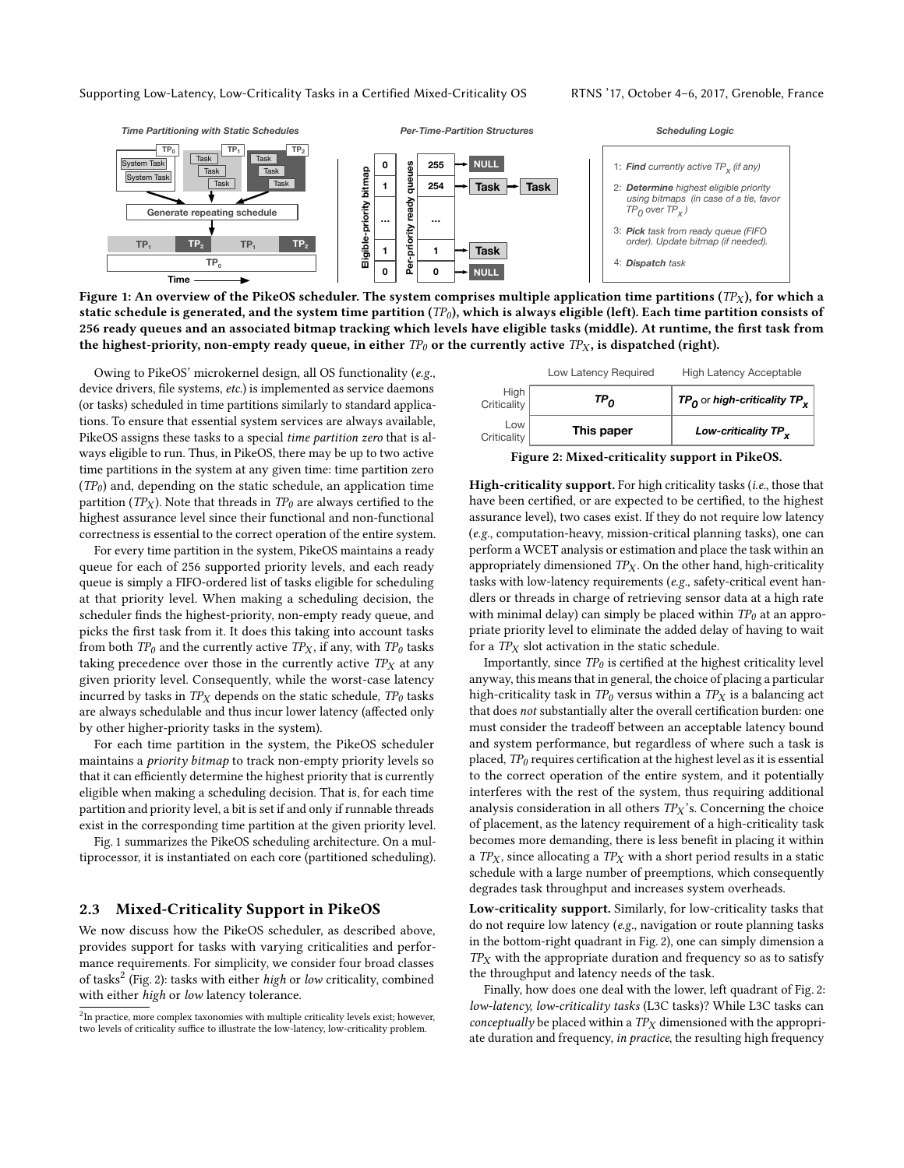Supporting Low-Latency, Low-Criticality Tasks in a Certified Mixed-Criticality OS RTNS '17, October 4–6, 2017, Grenoble, France

<span id="page-2-0"></span>

Figure 1: An overview of the PikeOS scheduler. The system comprises multiple application time partitions ( $TP_X$ ), for which a static schedule is generated, and the system time partition  $(TP_0)$ , which is always eligible (left). Each time partition consists of 256 ready queues and an associated bitmap tracking which levels have eligible tasks (middle). At runtime, the first task from the highest-priority, non-empty ready queue, in either  $TP_0$  or the currently active  $TP_X$ , is dispatched (right).

Owing to PikeOS' microkernel design, all OS functionality (e.g., device drivers, file systems, etc.) is implemented as service daemons (or tasks) scheduled in time partitions similarly to standard applications. To ensure that essential system services are always available, PikeOS assigns these tasks to a special time partition zero that is always eligible to run. Thus, in PikeOS, there may be up to two active time partitions in the system at any given time: time partition zero  $(TP<sub>0</sub>)$  and, depending on the static schedule, an application time partition (TP<sub>X</sub>). Note that threads in TP<sub>0</sub> are always certified to the highest assurance level since their functional and non-functional correctness is essential to the correct operation of the entire system.

For every time partition in the system, PikeOS maintains a ready queue for each of 256 supported priority levels, and each ready queue is simply a FIFO-ordered list of tasks eligible for scheduling at that priority level. When making a scheduling decision, the scheduler finds the highest-priority, non-empty ready queue, and picks the first task from it. It does this taking into account tasks from both  $TP_0$  and the currently active  $TP_X$ , if any, with  $TP_0$  tasks taking precedence over those in the currently active  $TP<sub>X</sub>$  at any given priority level. Consequently, while the worst-case latency incurred by tasks in  $TP<sub>X</sub>$  depends on the static schedule,  $TP<sub>0</sub>$  tasks are always schedulable and thus incur lower latency (affected only by other higher-priority tasks in the system).

For each time partition in the system, the PikeOS scheduler maintains a priority bitmap to track non-empty priority levels so that it can efficiently determine the highest priority that is currently eligible when making a scheduling decision. That is, for each time partition and priority level, a bit is set if and only if runnable threads exist in the corresponding time partition at the given priority level.

Fig. [1](#page-2-0) summarizes the PikeOS scheduling architecture. On a multiprocessor, it is instantiated on each core (partitioned scheduling).

#### 2.3 Mixed-Criticality Support in PikeOS

We now discuss how the PikeOS scheduler, as described above, provides support for tasks with varying criticalities and performance requirements. For simplicity, we consider four broad classes of tasks<sup>[2](#page-0-0)</sup> (Fig. [2\)](#page-2-1): tasks with either high or low criticality, combined with either high or low latency tolerance.

<span id="page-2-1"></span>

|                     | Low Latency Required | <b>High Latency Acceptable</b>             |
|---------------------|----------------------|--------------------------------------------|
| High<br>Criticality | TP <sub>o</sub>      | $TP_0$ or high-criticality TP <sub>x</sub> |
| Low<br>Criticality  | This paper           | Low-criticality TP <sub>v</sub>            |
|                     |                      |                                            |

Figure 2: Mixed-criticality support in PikeOS.

High-criticality support. For high criticality tasks (i.e., those that have been certified, or are expected to be certified, to the highest assurance level), two cases exist. If they do not require low latency (e.g., computation-heavy, mission-critical planning tasks), one can perform a WCET analysis or estimation and place the task within an appropriately dimensioned  $TP<sub>X</sub>$ . On the other hand, high-criticality tasks with low-latency requirements (e.g., safety-critical event handlers or threads in charge of retrieving sensor data at a high rate with minimal delay) can simply be placed within  $TP_0$  at an appropriate priority level to eliminate the added delay of having to wait for a  $TP<sub>X</sub>$  slot activation in the static schedule.

Importantly, since  $TP_0$  is certified at the highest criticality level anyway, this means that in general, the choice of placing a particular high-criticality task in  $TP_0$  versus within a  $TP_X$  is a balancing act that does not substantially alter the overall certification burden: one must consider the tradeoff between an acceptable latency bound and system performance, but regardless of where such a task is placed,  $TP_0$  requires certification at the highest level as it is essential to the correct operation of the entire system, and it potentially interferes with the rest of the system, thus requiring additional analysis consideration in all others  $TP<sub>X</sub>$ 's. Concerning the choice of placement, as the latency requirement of a high-criticality task becomes more demanding, there is less benefit in placing it within a  $TP_X$ , since allocating a  $TP_X$  with a short period results in a static schedule with a large number of preemptions, which consequently degrades task throughput and increases system overheads.

Low-criticality support. Similarly, for low-criticality tasks that do not require low latency (e.g., navigation or route planning tasks in the bottom-right quadrant in Fig. [2\)](#page-2-1), one can simply dimension a  $TP<sub>X</sub>$  with the appropriate duration and frequency so as to satisfy the throughput and latency needs of the task.

Finally, how does one deal with the lower, left quadrant of Fig. [2:](#page-2-1) low-latency, low-criticality tasks (L3C tasks)? While L3C tasks can conceptually be placed within a  $TP<sub>X</sub>$  dimensioned with the appropriate duration and frequency, in practice, the resulting high frequency

 ${}^{2}$ In practice, more complex taxonomies with multiple criticality levels exist; however, two levels of criticality suffice to illustrate the low-latency, low-criticality problem.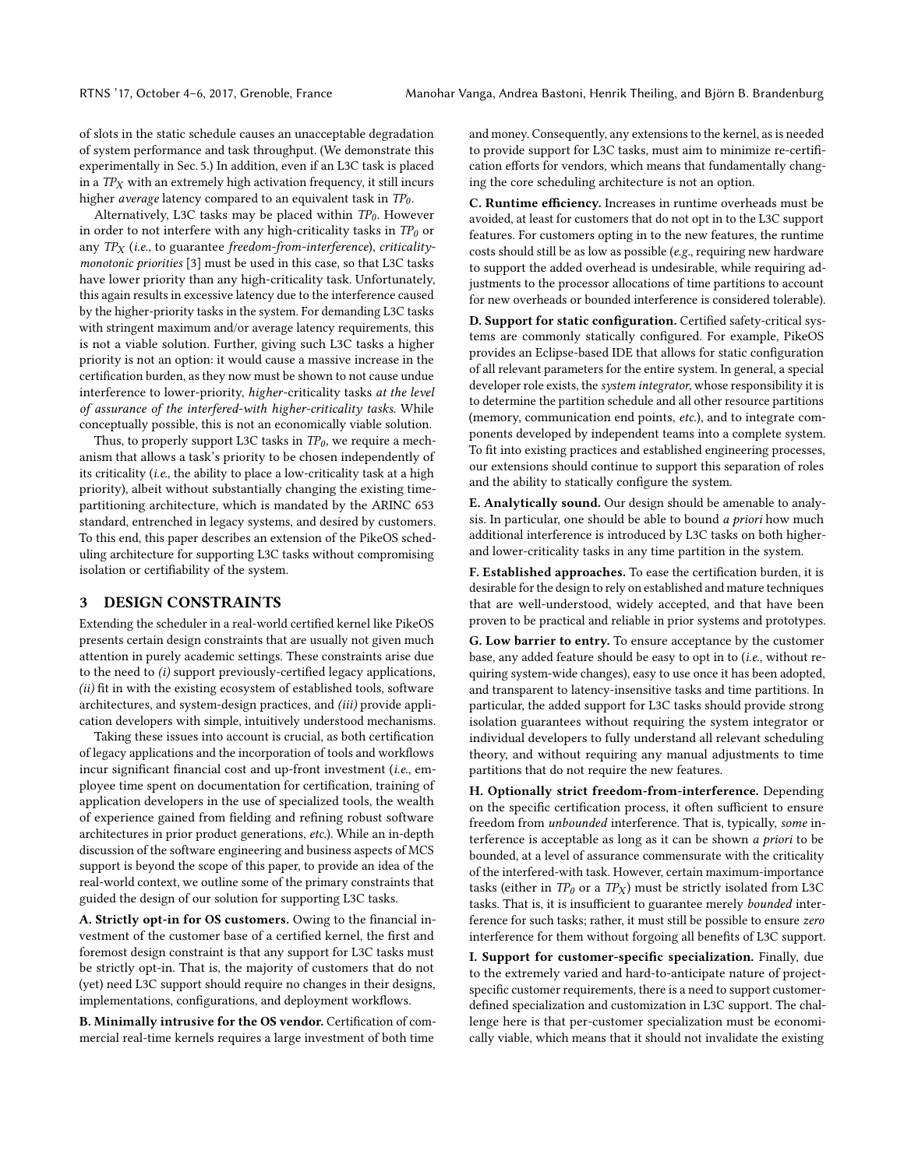of slots in the static schedule causes an unacceptable degradation of system performance and task throughput. (We demonstrate this experimentally in Sec. [5.](#page-6-0)) In addition, even if an L3C task is placed in a  $TP<sub>X</sub>$  with an extremely high activation frequency, it still incurs higher *average* latency compared to an equivalent task in  $TP_0$ .

Alternatively, L3C tasks may be placed within  $TP_0$ . However in order to not interfere with any high-criticality tasks in  $TP_0$  or any  $TP_X$  (i.e., to guarantee freedom-from-interference), criticalitymonotonic priorities [\[3\]](#page-9-4) must be used in this case, so that L3C tasks have lower priority than any high-criticality task. Unfortunately, this again results in excessive latency due to the interference caused by the higher-priority tasks in the system. For demanding L3C tasks with stringent maximum and/or average latency requirements, this is not a viable solution. Further, giving such L3C tasks a higher priority is not an option: it would cause a massive increase in the certification burden, as they now must be shown to not cause undue interference to lower-priority, higher-criticality tasks at the level of assurance of the interfered-with higher-criticality tasks. While conceptually possible, this is not an economically viable solution.

Thus, to properly support L3C tasks in  $TP_0$ , we require a mechanism that allows a task's priority to be chosen independently of its criticality (i.e., the ability to place a low-criticality task at a high priority), albeit without substantially changing the existing timepartitioning architecture, which is mandated by the ARINC 653 standard, entrenched in legacy systems, and desired by customers. To this end, this paper describes an extension of the PikeOS scheduling architecture for supporting L3C tasks without compromising isolation or certifiability of the system.

#### <span id="page-3-0"></span>3 DESIGN CONSTRAINTS

Extending the scheduler in a real-world certified kernel like PikeOS presents certain design constraints that are usually not given much attention in purely academic settings. These constraints arise due to the need to  $(i)$  support previously-certified legacy applications, (ii) fit in with the existing ecosystem of established tools, software architectures, and system-design practices, and (iii) provide application developers with simple, intuitively understood mechanisms.

Taking these issues into account is crucial, as both certification of legacy applications and the incorporation of tools and workflows incur significant financial cost and up-front investment (i.e., employee time spent on documentation for certification, training of application developers in the use of specialized tools, the wealth of experience gained from fielding and refining robust software architectures in prior product generations, etc.). While an in-depth discussion of the software engineering and business aspects of MCS support is beyond the scope of this paper, to provide an idea of the real-world context, we outline some of the primary constraints that guided the design of our solution for supporting L3C tasks.

A. Strictly opt-in for OS customers. Owing to the financial investment of the customer base of a certified kernel, the first and foremost design constraint is that any support for L3C tasks must be strictly opt-in. That is, the majority of customers that do not (yet) need L3C support should require no changes in their designs, implementations, configurations, and deployment workflows.

B. Minimally intrusive for the OS vendor. Certification of commercial real-time kernels requires a large investment of both time

and money. Consequently, any extensions to the kernel, as is needed to provide support for L3C tasks, must aim to minimize re-certification efforts for vendors, which means that fundamentally changing the core scheduling architecture is not an option.

C. Runtime efficiency. Increases in runtime overheads must be avoided, at least for customers that do not opt in to the L3C support features. For customers opting in to the new features, the runtime costs should still be as low as possible (e.g., requiring new hardware to support the added overhead is undesirable, while requiring adjustments to the processor allocations of time partitions to account for new overheads or bounded interference is considered tolerable).

D. Support for static configuration. Certified safety-critical systems are commonly statically configured. For example, PikeOS provides an Eclipse-based IDE that allows for static configuration of all relevant parameters for the entire system. In general, a special developer role exists, the system integrator, whose responsibility it is to determine the partition schedule and all other resource partitions (memory, communication end points, etc.), and to integrate components developed by independent teams into a complete system. To fit into existing practices and established engineering processes, our extensions should continue to support this separation of roles and the ability to statically configure the system.

E. Analytically sound. Our design should be amenable to analysis. In particular, one should be able to bound a priori how much additional interference is introduced by L3C tasks on both higherand lower-criticality tasks in any time partition in the system.

F. Established approaches. To ease the certification burden, it is desirable for the design to rely on established and mature techniques that are well-understood, widely accepted, and that have been proven to be practical and reliable in prior systems and prototypes.

G. Low barrier to entry. To ensure acceptance by the customer base, any added feature should be easy to opt in to (i.e., without requiring system-wide changes), easy to use once it has been adopted, and transparent to latency-insensitive tasks and time partitions. In particular, the added support for L3C tasks should provide strong isolation guarantees without requiring the system integrator or individual developers to fully understand all relevant scheduling theory, and without requiring any manual adjustments to time partitions that do not require the new features.

H. Optionally strict freedom-from-interference. Depending on the specific certification process, it often sufficient to ensure freedom from unbounded interference. That is, typically, some interference is acceptable as long as it can be shown *a priori* to be bounded, at a level of assurance commensurate with the criticality of the interfered-with task. However, certain maximum-importance tasks (either in  $TP_0$  or a  $TP_X$ ) must be strictly isolated from L3C tasks. That is, it is insufficient to guarantee merely bounded interference for such tasks; rather, it must still be possible to ensure zero interference for them without forgoing all benefits of L3C support.

I. Support for customer-specific specialization. Finally, due to the extremely varied and hard-to-anticipate nature of projectspecific customer requirements, there is a need to support customerdefined specialization and customization in L3C support. The challenge here is that per-customer specialization must be economically viable, which means that it should not invalidate the existing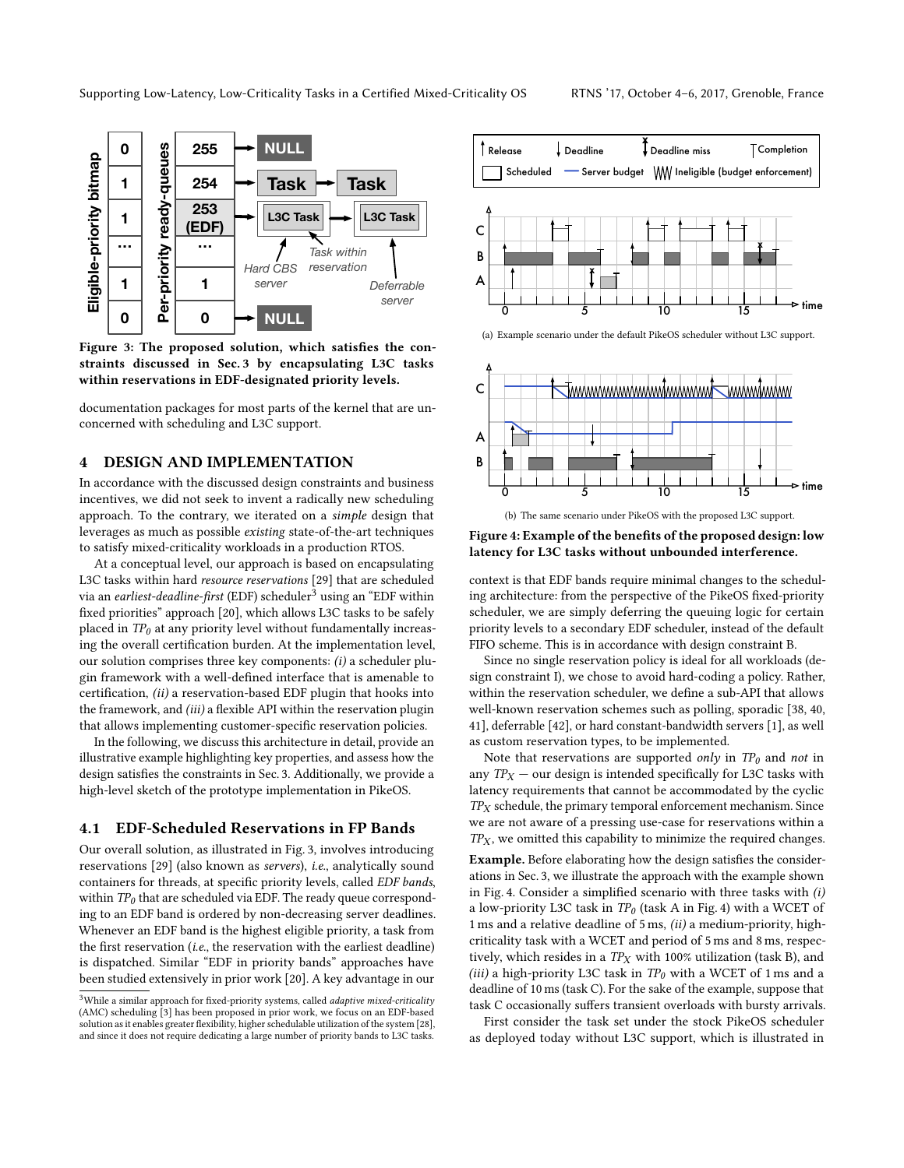<span id="page-4-1"></span>

Figure 3: The proposed solution, which satisfies the constraints discussed in Sec. [3](#page-3-0) by encapsulating L3C tasks within reservations in EDF-designated priority levels.

documentation packages for most parts of the kernel that are unconcerned with scheduling and L3C support.

# <span id="page-4-0"></span>4 DESIGN AND IMPLEMENTATION

In accordance with the discussed design constraints and business incentives, we did not seek to invent a radically new scheduling approach. To the contrary, we iterated on a simple design that leverages as much as possible existing state-of-the-art techniques to satisfy mixed-criticality workloads in a production RTOS.

At a conceptual level, our approach is based on encapsulating L3C tasks within hard resource reservations [\[29\]](#page-9-5) that are scheduled via an *earliest-deadline-first* (EDF) scheduler<sup>[3](#page-0-0)</sup> using an "EDF within fixed priorities" approach [\[20\]](#page-9-6), which allows L3C tasks to be safely placed in  $TP_0$  at any priority level without fundamentally increasing the overall certification burden. At the implementation level, our solution comprises three key components: (i) a scheduler plugin framework with a well-defined interface that is amenable to certification, (ii) a reservation-based EDF plugin that hooks into the framework, and (iii) a flexible API within the reservation plugin that allows implementing customer-specific reservation policies.

In the following, we discuss this architecture in detail, provide an illustrative example highlighting key properties, and assess how the design satisfies the constraints in Sec. [3.](#page-3-0) Additionally, we provide a high-level sketch of the prototype implementation in PikeOS.

#### 4.1 EDF-Scheduled Reservations in FP Bands

Our overall solution, as illustrated in Fig. [3,](#page-4-1) involves introducing reservations [\[29\]](#page-9-5) (also known as servers), i.e., analytically sound containers for threads, at specific priority levels, called EDF bands, within  $TP_0$  that are scheduled via EDF. The ready queue corresponding to an EDF band is ordered by non-decreasing server deadlines. Whenever an EDF band is the highest eligible priority, a task from the first reservation (i.e., the reservation with the earliest deadline) is dispatched. Similar "EDF in priority bands" approaches have been studied extensively in prior work [\[20\]](#page-9-6). A key advantage in our

<span id="page-4-2"></span>

<span id="page-4-3"></span>



<span id="page-4-4"></span>(b) The same scenario under PikeOS with the proposed L3C support.

Figure 4: Example of the benefits of the proposed design: low latency for L3C tasks without unbounded interference.

context is that EDF bands require minimal changes to the scheduling architecture: from the perspective of the PikeOS fixed-priority scheduler, we are simply deferring the queuing logic for certain priority levels to a secondary EDF scheduler, instead of the default FIFO scheme. This is in accordance with design constraint B.

Since no single reservation policy is ideal for all workloads (design constraint I), we chose to avoid hard-coding a policy. Rather, within the reservation scheduler, we define a sub-API that allows well-known reservation schemes such as polling, sporadic [\[38,](#page-9-8) [40,](#page-9-9) [41\]](#page-9-10), deferrable [\[42\]](#page-9-11), or hard constant-bandwidth servers [\[1\]](#page-9-12), as well as custom reservation types, to be implemented.

Note that reservations are supported only in  $TP_0$  and not in any  $TP_X$  — our design is intended specifically for L3C tasks with latency requirements that cannot be accommodated by the cyclic  $TP<sub>X</sub>$  schedule, the primary temporal enforcement mechanism. Since we are not aware of a pressing use-case for reservations within a  $TP<sub>X</sub>$ , we omitted this capability to minimize the required changes.

Example. Before elaborating how the design satisfies the considerations in Sec. [3,](#page-3-0) we illustrate the approach with the example shown in Fig. [4.](#page-4-2) Consider a simplified scenario with three tasks with (i) a low-priority L3C task in  $TP_0$  (task A in Fig. [4\)](#page-4-2) with a WCET of 1 ms and a relative deadline of 5 ms, (ii) a medium-priority, highcriticality task with a WCET and period of 5 ms and 8 ms, respectively, which resides in a  $TP<sub>X</sub>$  with 100% utilization (task B), and (iii) a high-priority L3C task in  $TP_0$  with a WCET of 1 ms and a deadline of 10 ms (task C). For the sake of the example, suppose that task C occasionally suffers transient overloads with bursty arrivals.

First consider the task set under the stock PikeOS scheduler as deployed today without L3C support, which is illustrated in

<sup>&</sup>lt;sup>3</sup>While a similar approach for fixed-priority systems, called *adaptive mixed-criticality* (AMC) scheduling [\[3\]](#page-9-4) has been proposed in prior work, we focus on an EDF-based solution as it enables greater flexibility, higher schedulable utilization of the system [\[28\]](#page-9-7), and since it does not require dedicating a large number of priority bands to L3C tasks.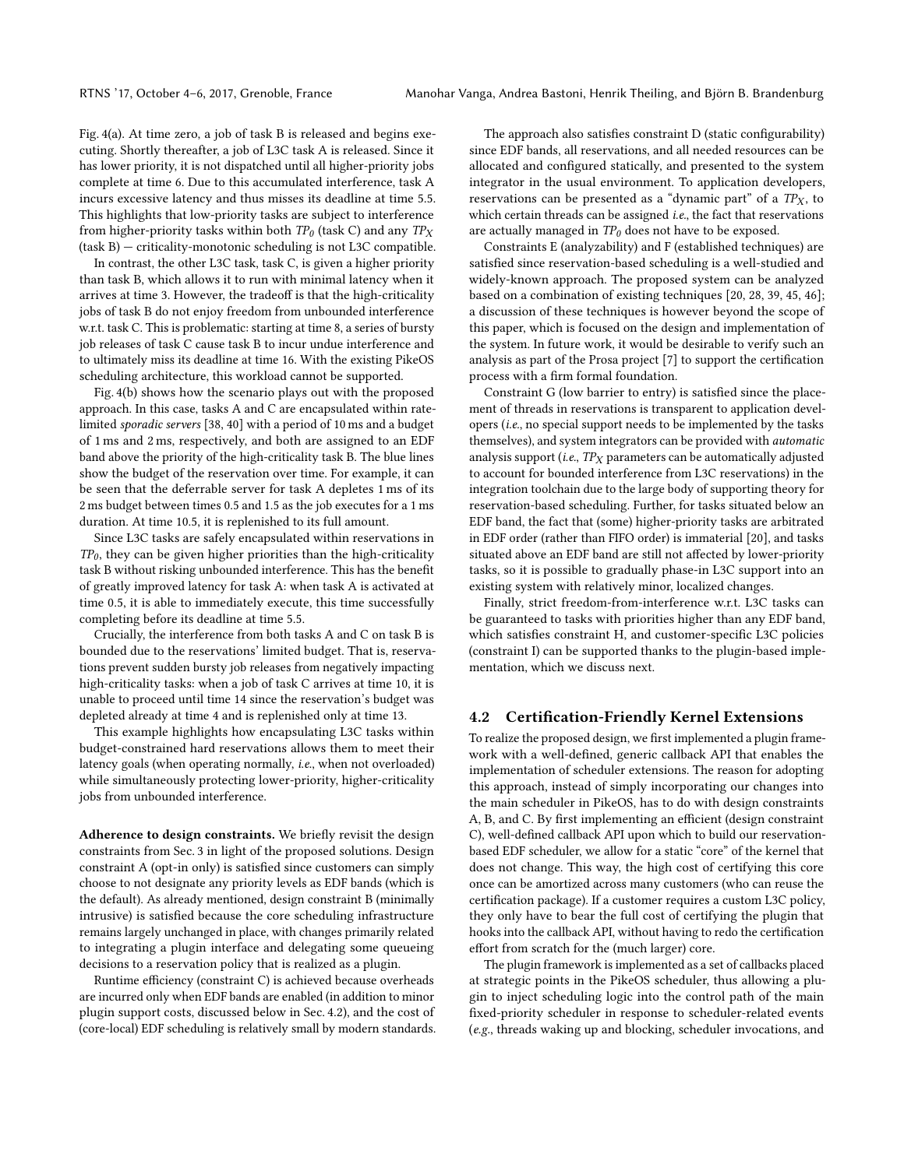Fig. [4\(a\).](#page-4-3) At time zero, a job of task B is released and begins executing. Shortly thereafter, a job of L3C task A is released. Since it has lower priority, it is not dispatched until all higher-priority jobs complete at time 6. Due to this accumulated interference, task A incurs excessive latency and thus misses its deadline at time 5.5. This highlights that low-priority tasks are subject to interference from higher-priority tasks within both  $TP_0$  (task C) and any  $TP_X$ (task B) — criticality-monotonic scheduling is not L3C compatible.

In contrast, the other L3C task, task C, is given a higher priority than task B, which allows it to run with minimal latency when it arrives at time 3. However, the tradeoff is that the high-criticality jobs of task B do not enjoy freedom from unbounded interference w.r.t. task C. This is problematic: starting at time 8, a series of bursty job releases of task C cause task B to incur undue interference and to ultimately miss its deadline at time 16. With the existing PikeOS scheduling architecture, this workload cannot be supported.

Fig. [4\(b\)](#page-4-4) shows how the scenario plays out with the proposed approach. In this case, tasks A and C are encapsulated within ratelimited sporadic servers [\[38,](#page-9-8) [40\]](#page-9-9) with a period of 10 ms and a budget of 1 ms and 2 ms, respectively, and both are assigned to an EDF band above the priority of the high-criticality task B. The blue lines show the budget of the reservation over time. For example, it can be seen that the deferrable server for task A depletes 1 ms of its 2 ms budget between times 0.5 and 1.5 as the job executes for a 1 ms duration. At time 10.5, it is replenished to its full amount.

Since L3C tasks are safely encapsulated within reservations in  $TP_0$ , they can be given higher priorities than the high-criticality task B without risking unbounded interference. This has the benefit of greatly improved latency for task A: when task A is activated at time 0.5, it is able to immediately execute, this time successfully completing before its deadline at time 5.5.

Crucially, the interference from both tasks A and C on task B is bounded due to the reservations' limited budget. That is, reservations prevent sudden bursty job releases from negatively impacting high-criticality tasks: when a job of task C arrives at time 10, it is unable to proceed until time 14 since the reservation's budget was depleted already at time 4 and is replenished only at time 13.

This example highlights how encapsulating L3C tasks within budget-constrained hard reservations allows them to meet their latency goals (when operating normally, i.e., when not overloaded) while simultaneously protecting lower-priority, higher-criticality jobs from unbounded interference.

Adherence to design constraints. We briefly revisit the design constraints from Sec. [3](#page-3-0) in light of the proposed solutions. Design constraint A (opt-in only) is satisfied since customers can simply choose to not designate any priority levels as EDF bands (which is the default). As already mentioned, design constraint B (minimally intrusive) is satisfied because the core scheduling infrastructure remains largely unchanged in place, with changes primarily related to integrating a plugin interface and delegating some queueing decisions to a reservation policy that is realized as a plugin.

Runtime efficiency (constraint C) is achieved because overheads are incurred only when EDF bands are enabled (in addition to minor plugin support costs, discussed below in Sec. [4.2\)](#page-5-0), and the cost of (core-local) EDF scheduling is relatively small by modern standards.

The approach also satisfies constraint D (static configurability) since EDF bands, all reservations, and all needed resources can be allocated and configured statically, and presented to the system integrator in the usual environment. To application developers, reservations can be presented as a "dynamic part" of a  $TP<sub>X</sub>$ , to which certain threads can be assigned *i.e.*, the fact that reservations are actually managed in  $TP_0$  does not have to be exposed.

Constraints E (analyzability) and F (established techniques) are satisfied since reservation-based scheduling is a well-studied and widely-known approach. The proposed system can be analyzed based on a combination of existing techniques [\[20,](#page-9-6) [28,](#page-9-7) [39,](#page-9-13) [45,](#page-9-14) [46\]](#page-9-15); a discussion of these techniques is however beyond the scope of this paper, which is focused on the design and implementation of the system. In future work, it would be desirable to verify such an analysis as part of the Prosa project [\[7\]](#page-9-16) to support the certification process with a firm formal foundation.

Constraint G (low barrier to entry) is satisfied since the placement of threads in reservations is transparent to application developers (i.e., no special support needs to be implemented by the tasks themselves), and system integrators can be provided with automatic analysis support (i.e.,  $TP<sub>X</sub>$  parameters can be automatically adjusted to account for bounded interference from L3C reservations) in the integration toolchain due to the large body of supporting theory for reservation-based scheduling. Further, for tasks situated below an EDF band, the fact that (some) higher-priority tasks are arbitrated in EDF order (rather than FIFO order) is immaterial [\[20\]](#page-9-6), and tasks situated above an EDF band are still not affected by lower-priority tasks, so it is possible to gradually phase-in L3C support into an existing system with relatively minor, localized changes.

Finally, strict freedom-from-interference w.r.t. L3C tasks can be guaranteed to tasks with priorities higher than any EDF band, which satisfies constraint H, and customer-specific L3C policies (constraint I) can be supported thanks to the plugin-based implementation, which we discuss next.

#### <span id="page-5-0"></span>4.2 Certification-Friendly Kernel Extensions

To realize the proposed design, we first implemented a plugin framework with a well-defined, generic callback API that enables the implementation of scheduler extensions. The reason for adopting this approach, instead of simply incorporating our changes into the main scheduler in PikeOS, has to do with design constraints A, B, and C. By first implementing an efficient (design constraint C), well-defined callback API upon which to build our reservationbased EDF scheduler, we allow for a static "core" of the kernel that does not change. This way, the high cost of certifying this core once can be amortized across many customers (who can reuse the certification package). If a customer requires a custom L3C policy, they only have to bear the full cost of certifying the plugin that hooks into the callback API, without having to redo the certification effort from scratch for the (much larger) core.

The plugin framework is implemented as a set of callbacks placed at strategic points in the PikeOS scheduler, thus allowing a plugin to inject scheduling logic into the control path of the main fixed-priority scheduler in response to scheduler-related events (e.g., threads waking up and blocking, scheduler invocations, and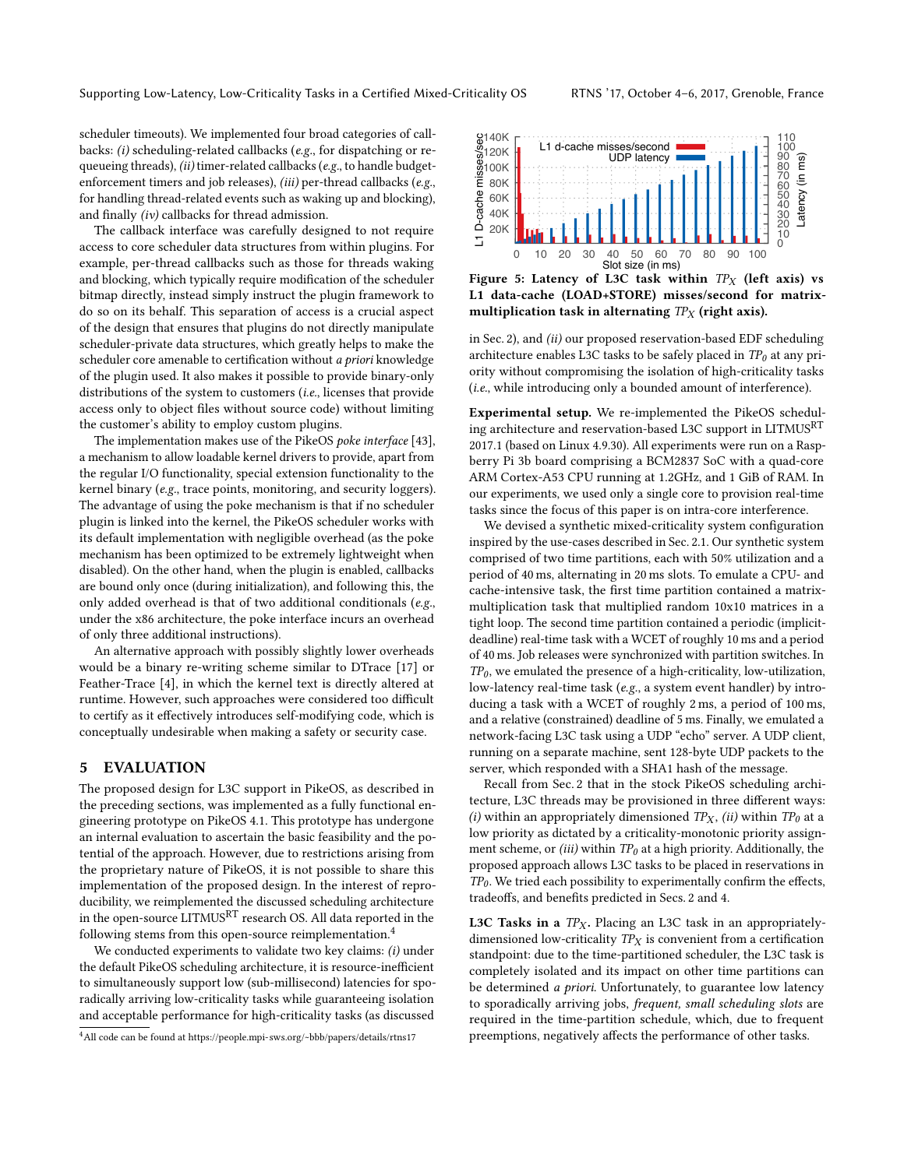scheduler timeouts). We implemented four broad categories of callbacks: (i) scheduling-related callbacks (e.g., for dispatching or requeueing threads), (ii) timer-related callbacks (e.g., to handle budgetenforcement timers and job releases), (iii) per-thread callbacks (e.g., for handling thread-related events such as waking up and blocking), and finally (iv) callbacks for thread admission.

The callback interface was carefully designed to not require access to core scheduler data structures from within plugins. For example, per-thread callbacks such as those for threads waking and blocking, which typically require modification of the scheduler bitmap directly, instead simply instruct the plugin framework to do so on its behalf. This separation of access is a crucial aspect of the design that ensures that plugins do not directly manipulate scheduler-private data structures, which greatly helps to make the scheduler core amenable to certification without a priori knowledge of the plugin used. It also makes it possible to provide binary-only distributions of the system to customers (i.e., licenses that provide access only to object files without source code) without limiting the customer's ability to employ custom plugins.

The implementation makes use of the PikeOS poke interface [\[43\]](#page-9-17), a mechanism to allow loadable kernel drivers to provide, apart from the regular I/O functionality, special extension functionality to the kernel binary (e.g., trace points, monitoring, and security loggers). The advantage of using the poke mechanism is that if no scheduler plugin is linked into the kernel, the PikeOS scheduler works with its default implementation with negligible overhead (as the poke mechanism has been optimized to be extremely lightweight when disabled). On the other hand, when the plugin is enabled, callbacks are bound only once (during initialization), and following this, the only added overhead is that of two additional conditionals (e.g., under the x86 architecture, the poke interface incurs an overhead of only three additional instructions).

An alternative approach with possibly slightly lower overheads would be a binary re-writing scheme similar to DTrace [\[17\]](#page-9-18) or Feather-Trace [\[4\]](#page-9-19), in which the kernel text is directly altered at runtime. However, such approaches were considered too difficult to certify as it effectively introduces self-modifying code, which is conceptually undesirable when making a safety or security case.

#### <span id="page-6-0"></span>5 EVALUATION

The proposed design for L3C support in PikeOS, as described in the preceding sections, was implemented as a fully functional engineering prototype on PikeOS 4.1. This prototype has undergone an internal evaluation to ascertain the basic feasibility and the potential of the approach. However, due to restrictions arising from the proprietary nature of PikeOS, it is not possible to share this implementation of the proposed design. In the interest of reproducibility, we reimplemented the discussed scheduling architecture in the open-source LITMUSRT research OS. All data reported in the following stems from this open-source reimplementation.[4](#page-0-0)

We conducted experiments to validate two key claims: (i) under the default PikeOS scheduling architecture, it is resource-inefficient to simultaneously support low (sub-millisecond) latencies for sporadically arriving low-criticality tasks while guaranteeing isolation and acceptable performance for high-criticality tasks (as discussed

<span id="page-6-1"></span>

Figure 5: Latency of L3C task within  $TP_X$  (left axis) vs L1 data-cache (LOAD+STORE) misses/second for matrixmultiplication task in alternating  $TP<sub>X</sub>$  (right axis).

in Sec. [2\)](#page-1-1), and (ii) our proposed reservation-based EDF scheduling architecture enables L3C tasks to be safely placed in  $TP_0$  at any priority without compromising the isolation of high-criticality tasks (i.e., while introducing only a bounded amount of interference).

Experimental setup. We re-implemented the PikeOS scheduling architecture and reservation-based L3C support in LITMUSRT 2017.1 (based on Linux 4.9.30). All experiments were run on a Raspberry Pi 3b board comprising a BCM2837 SoC with a quad-core ARM Cortex-A53 CPU running at 1.2GHz, and 1 GiB of RAM. In our experiments, we used only a single core to provision real-time tasks since the focus of this paper is on intra-core interference.

We devised a synthetic mixed-criticality system configuration inspired by the use-cases described in Sec. [2.1.](#page-1-0) Our synthetic system comprised of two time partitions, each with 50% utilization and a period of 40 ms, alternating in 20 ms slots. To emulate a CPU- and cache-intensive task, the first time partition contained a matrixmultiplication task that multiplied random 10x10 matrices in a tight loop. The second time partition contained a periodic (implicitdeadline) real-time task with a WCET of roughly 10 ms and a period of 40 ms. Job releases were synchronized with partition switches. In  $TP_0$ , we emulated the presence of a high-criticality, low-utilization, low-latency real-time task (e.g., a system event handler) by introducing a task with a WCET of roughly 2 ms, a period of 100 ms, and a relative (constrained) deadline of 5 ms. Finally, we emulated a network-facing L3C task using a UDP "echo" server. A UDP client, running on a separate machine, sent 128-byte UDP packets to the server, which responded with a SHA1 hash of the message.

Recall from Sec. [2](#page-1-1) that in the stock PikeOS scheduling architecture, L3C threads may be provisioned in three different ways: (i) within an appropriately dimensioned  $TP_X$ , (ii) within  $TP_0$  at a low priority as dictated by a criticality-monotonic priority assignment scheme, or (iii) within  $TP_0$  at a high priority. Additionally, the proposed approach allows L3C tasks to be placed in reservations in  $TP_0$ . We tried each possibility to experimentally confirm the effects, tradeoffs, and benefits predicted in Secs. [2](#page-1-1) and [4.](#page-4-0)

L3C Tasks in a  $TP_X$ . Placing an L3C task in an appropriatelydimensioned low-criticality  $TP<sub>X</sub>$  is convenient from a certification standpoint: due to the time-partitioned scheduler, the L3C task is completely isolated and its impact on other time partitions can be determined a priori. Unfortunately, to guarantee low latency to sporadically arriving jobs, frequent, small scheduling slots are required in the time-partition schedule, which, due to frequent preemptions, negatively affects the performance of other tasks.

<sup>4</sup>All code can be found at<https://people.mpi-sws.org/~bbb/papers/details/rtns17>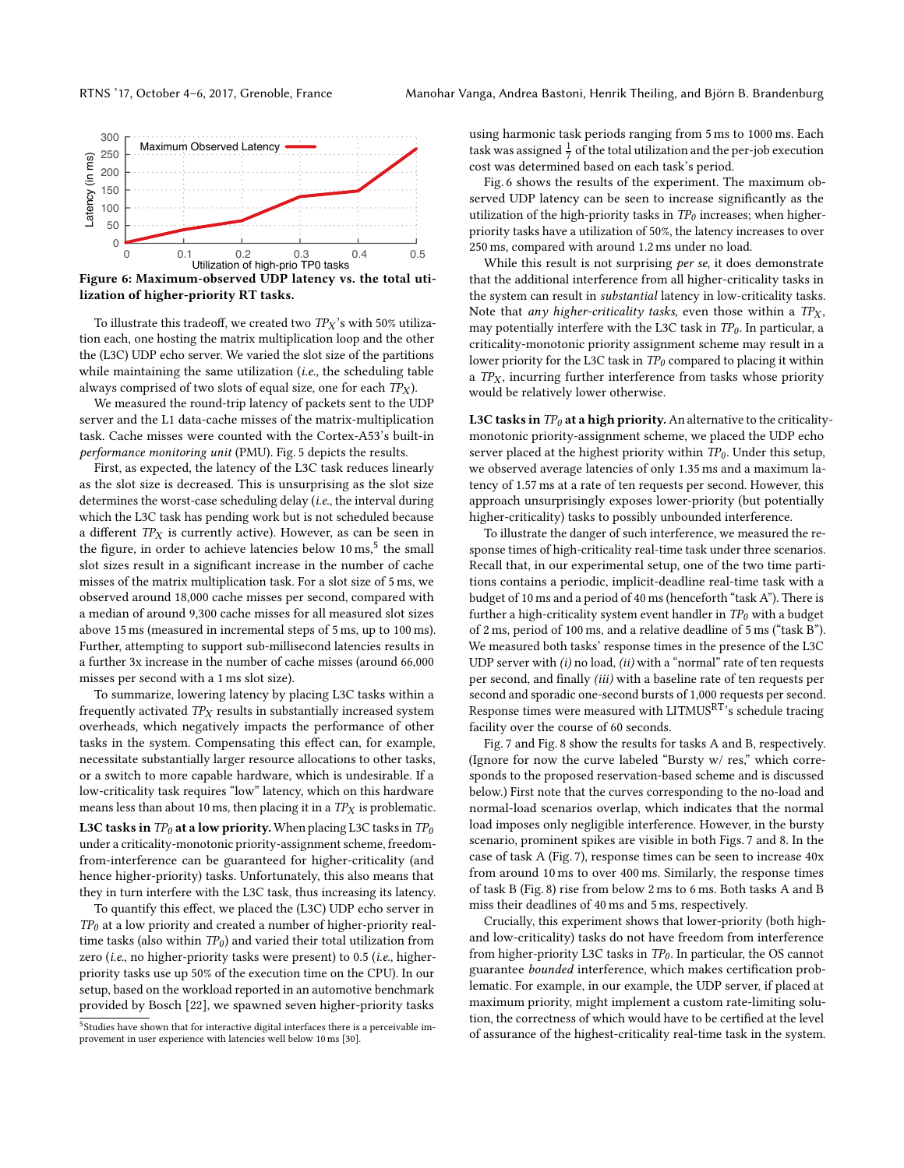<span id="page-7-0"></span>

Figure 6: Maximum-observed UDP latency vs. the total utilization of higher-priority RT tasks.

To illustrate this tradeoff, we created two  $TP_X$ 's with 50% utilization each, one hosting the matrix multiplication loop and the other the (L3C) UDP echo server. We varied the slot size of the partitions while maintaining the same utilization (i.e., the scheduling table always comprised of two slots of equal size, one for each  $TP<sub>X</sub>$ ).

We measured the round-trip latency of packets sent to the UDP server and the L1 data-cache misses of the matrix-multiplication task. Cache misses were counted with the Cortex-A53's built-in performance monitoring unit (PMU). Fig. [5](#page-6-1) depicts the results.

First, as expected, the latency of the L3C task reduces linearly as the slot size is decreased. This is unsurprising as the slot size determines the worst-case scheduling delay (i.e., the interval during which the L3C task has pending work but is not scheduled because a different  $TP<sub>X</sub>$  is currently active). However, as can be seen in the figure, in order to achieve latencies below 10 ms,<sup>[5](#page-0-0)</sup> the small slot sizes result in a significant increase in the number of cache misses of the matrix multiplication task. For a slot size of 5 ms, we observed around 18,000 cache misses per second, compared with a median of around 9,300 cache misses for all measured slot sizes above 15 ms (measured in incremental steps of 5 ms, up to 100 ms). Further, attempting to support sub-millisecond latencies results in a further 3x increase in the number of cache misses (around 66,000 misses per second with a 1 ms slot size).

To summarize, lowering latency by placing L3C tasks within a frequently activated  $TP<sub>X</sub>$  results in substantially increased system overheads, which negatively impacts the performance of other tasks in the system. Compensating this effect can, for example, necessitate substantially larger resource allocations to other tasks, or a switch to more capable hardware, which is undesirable. If a low-criticality task requires "low" latency, which on this hardware means less than about 10 ms, then placing it in a  $TP<sub>X</sub>$  is problematic. L3C tasks in  $TP_0$  at a low priority. When placing L3C tasks in  $TP_0$ under a criticality-monotonic priority-assignment scheme, freedomfrom-interference can be guaranteed for higher-criticality (and hence higher-priority) tasks. Unfortunately, this also means that they in turn interfere with the L3C task, thus increasing its latency.

To quantify this effect, we placed the (L3C) UDP echo server in  $TP<sub>0</sub>$  at a low priority and created a number of higher-priority realtime tasks (also within  $TP_0$ ) and varied their total utilization from zero (i.e., no higher-priority tasks were present) to 0.5 (i.e., higherpriority tasks use up 50% of the execution time on the CPU). In our setup, based on the workload reported in an automotive benchmark provided by Bosch [\[22\]](#page-9-20), we spawned seven higher-priority tasks

using harmonic task periods ranging from 5 ms to 1000 ms. Each task was assigned  $\frac{1}{7}$  of the total utilization and the per-job execution cost was determined based on each task's period.

Fig. [6](#page-7-0) shows the results of the experiment. The maximum observed UDP latency can be seen to increase significantly as the utilization of the high-priority tasks in  $TP<sub>0</sub>$  increases; when higherpriority tasks have a utilization of 50%, the latency increases to over 250 ms, compared with around 1.2 ms under no load.

While this result is not surprising *per se*, it does demonstrate that the additional interference from all higher-criticality tasks in the system can result in substantial latency in low-criticality tasks. Note that any higher-criticality tasks, even those within a  $TP_X$ , may potentially interfere with the L3C task in  $TP_0$ . In particular, a criticality-monotonic priority assignment scheme may result in a lower priority for the L3C task in  $TP_0$  compared to placing it within a  $TP<sub>X</sub>$ , incurring further interference from tasks whose priority would be relatively lower otherwise.

L3C tasks in  $TP_0$  at a high priority. An alternative to the criticalitymonotonic priority-assignment scheme, we placed the UDP echo server placed at the highest priority within  $TP_0$ . Under this setup, we observed average latencies of only 1.35 ms and a maximum latency of 1.57 ms at a rate of ten requests per second. However, this approach unsurprisingly exposes lower-priority (but potentially higher-criticality) tasks to possibly unbounded interference.

To illustrate the danger of such interference, we measured the response times of high-criticality real-time task under three scenarios. Recall that, in our experimental setup, one of the two time partitions contains a periodic, implicit-deadline real-time task with a budget of 10 ms and a period of 40 ms (henceforth "task A"). There is further a high-criticality system event handler in  $TP_0$  with a budget of 2 ms, period of 100 ms, and a relative deadline of 5 ms ("task B"). We measured both tasks' response times in the presence of the L3C UDP server with  $(i)$  no load,  $(ii)$  with a "normal" rate of ten requests per second, and finally (iii) with a baseline rate of ten requests per second and sporadic one-second bursts of 1,000 requests per second. Response times were measured with LITMUS<sup>RT</sup>'s schedule tracing facility over the course of 60 seconds.

Fig. [7](#page-8-1) and Fig. [8](#page-8-2) show the results for tasks A and B, respectively. (Ignore for now the curve labeled "Bursty w/ res," which corresponds to the proposed reservation-based scheme and is discussed below.) First note that the curves corresponding to the no-load and normal-load scenarios overlap, which indicates that the normal load imposes only negligible interference. However, in the bursty scenario, prominent spikes are visible in both Figs. [7](#page-8-1) and [8.](#page-8-2) In the case of task A (Fig. [7\)](#page-8-1), response times can be seen to increase 40x from around 10 ms to over 400 ms. Similarly, the response times of task B (Fig. [8\)](#page-8-2) rise from below 2 ms to 6 ms. Both tasks A and B miss their deadlines of 40 ms and 5 ms, respectively.

Crucially, this experiment shows that lower-priority (both highand low-criticality) tasks do not have freedom from interference from higher-priority L3C tasks in  $TP_0$ . In particular, the OS cannot guarantee bounded interference, which makes certification problematic. For example, in our example, the UDP server, if placed at maximum priority, might implement a custom rate-limiting solution, the correctness of which would have to be certified at the level of assurance of the highest-criticality real-time task in the system.

<sup>&</sup>lt;sup>5</sup>Studies have shown that for interactive digital interfaces there is a perceivable improvement in user experience with latencies well below 10 ms [\[30\]](#page-9-21).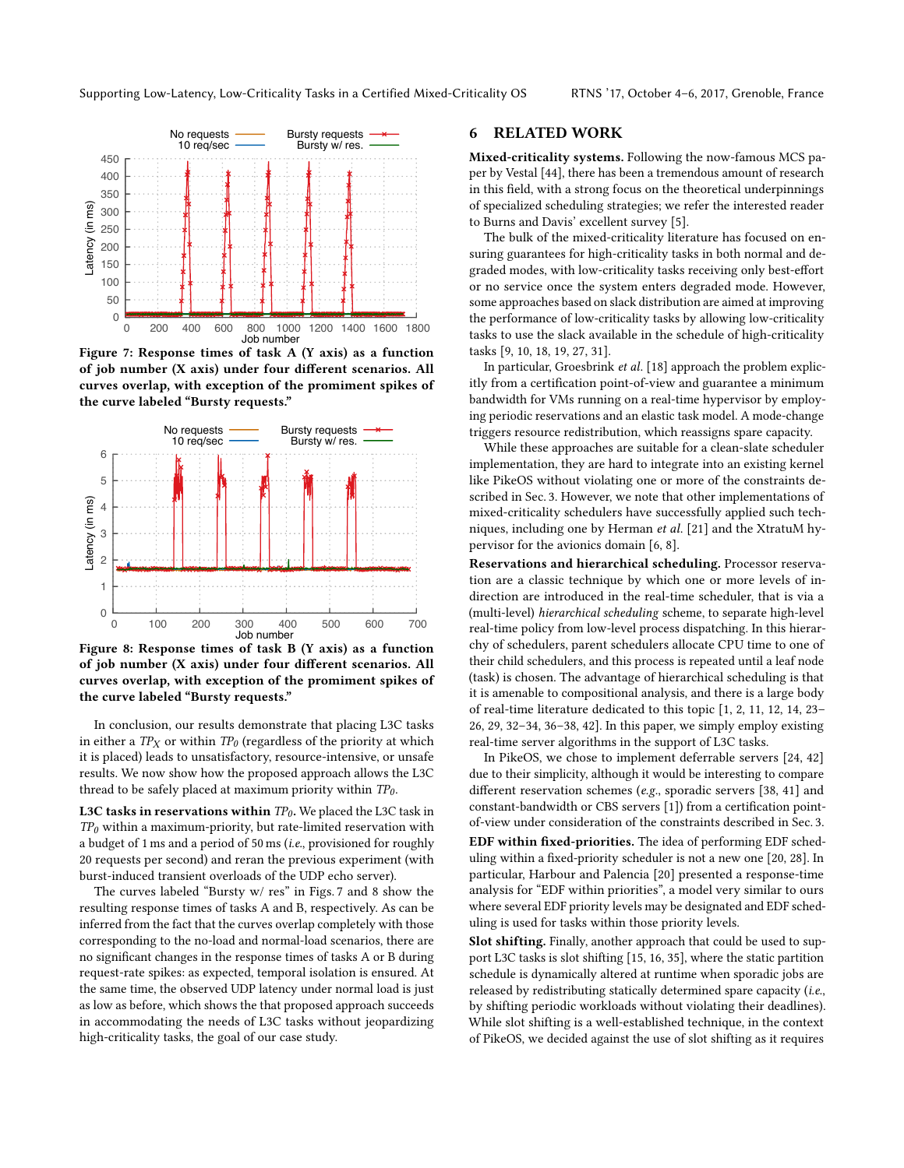<span id="page-8-1"></span>

Figure 7: Response times of task A (Y axis) as a function of job number (X axis) under four different scenarios. All curves overlap, with exception of the promiment spikes of the curve labeled "Bursty requests."

<span id="page-8-2"></span>

Figure 8: Response times of task B (Y axis) as a function of job number (X axis) under four different scenarios. All curves overlap, with exception of the promiment spikes of the curve labeled "Bursty requests."

In conclusion, our results demonstrate that placing L3C tasks in either a  $TP<sub>X</sub>$  or within  $TP<sub>0</sub>$  (regardless of the priority at which it is placed) leads to unsatisfactory, resource-intensive, or unsafe results. We now show how the proposed approach allows the L3C thread to be safely placed at maximum priority within  $TP_0$ .

L3C tasks in reservations within  $TP_0$ . We placed the L3C task in  $TP<sub>0</sub>$  within a maximum-priority, but rate-limited reservation with a budget of 1 ms and a period of 50 ms (i.e., provisioned for roughly 20 requests per second) and reran the previous experiment (with burst-induced transient overloads of the UDP echo server).

The curves labeled "Bursty w/res" in Figs. 7 and 8 show the resulting response times of tasks A and B, respectively. As can be inferred from the fact that the curves overlap completely with those corresponding to the no-load and normal-load scenarios, there are no significant changes in the response times of tasks A or B during request-rate spikes: as expected, temporal isolation is ensured. At the same time, the observed UDP latency under normal load is just as low as before, which shows the that proposed approach succeeds in accommodating the needs of L3C tasks without jeopardizing high-criticality tasks, the goal of our case study.

#### <span id="page-8-0"></span>**RELATED WORK** 6

Mixed-criticality systems. Following the now-famous MCS paper by Vestal [44], there has been a tremendous amount of research in this field, with a strong focus on the theoretical underpinnings of specialized scheduling strategies; we refer the interested reader to Burns and Davis' excellent survey [5].

The bulk of the mixed-criticality literature has focused on ensuring guarantees for high-criticality tasks in both normal and degraded modes, with low-criticality tasks receiving only best-effort or no service once the system enters degraded mode. However, some approaches based on slack distribution are aimed at improving the performance of low-criticality tasks by allowing low-criticality tasks to use the slack available in the schedule of high-criticality tasks [9, 10, 18, 19, 27, 31].

In particular, Groesbrink et al. [18] approach the problem explicitly from a certification point-of-view and guarantee a minimum bandwidth for VMs running on a real-time hypervisor by employing periodic reservations and an elastic task model. A mode-change triggers resource redistribution, which reassigns spare capacity.

While these approaches are suitable for a clean-slate scheduler implementation, they are hard to integrate into an existing kernel like PikeOS without violating one or more of the constraints described in Sec. 3. However, we note that other implementations of mixed-criticality schedulers have successfully applied such techniques, including one by Herman et al. [21] and the XtratuM hypervisor for the avionics domain  $[6, 8]$ .

Reservations and hierarchical scheduling. Processor reservation are a classic technique by which one or more levels of indirection are introduced in the real-time scheduler, that is via a (multi-level) hierarchical scheduling scheme, to separate high-level real-time policy from low-level process dispatching. In this hierarchy of schedulers, parent schedulers allocate CPU time to one of their child schedulers, and this process is repeated until a leaf node (task) is chosen. The advantage of hierarchical scheduling is that it is amenable to compositional analysis, and there is a large body of real-time literature dedicated to this topic [1, 2, 11, 12, 14, 23-26, 29, 32-34, 36-38, 42]. In this paper, we simply employ existing real-time server algorithms in the support of L3C tasks.

In PikeOS, we chose to implement deferrable servers [24, 42] due to their simplicity, although it would be interesting to compare different reservation schemes (e.g., sporadic servers [38, 41] and constant-bandwidth or CBS servers [1]) from a certification pointof-view under consideration of the constraints described in Sec. 3. EDF within fixed-priorities. The idea of performing EDF scheduling within a fixed-priority scheduler is not a new one [20, 28]. In particular, Harbour and Palencia [20] presented a response-time analysis for "EDF within priorities", a model very similar to ours where several EDF priority levels may be designated and EDF scheduling is used for tasks within those priority levels.

Slot shifting. Finally, another approach that could be used to support L3C tasks is slot shifting [15, 16, 35], where the static partition schedule is dynamically altered at runtime when sporadic jobs are released by redistributing statically determined spare capacity (i.e., by shifting periodic workloads without violating their deadlines). While slot shifting is a well-established technique, in the context of PikeOS, we decided against the use of slot shifting as it requires